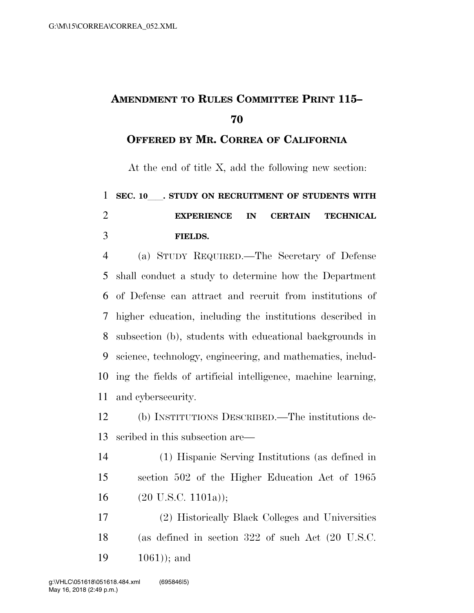## **AMENDMENT TO RULES COMMITTEE PRINT 115–**

**OFFERED BY MR. CORREA OF CALIFORNIA**

At the end of title X, add the following new section:

## 1 SEC. 10 STUDY ON RECRUITMENT OF STUDENTS WITH **EXPERIENCE IN CERTAIN TECHNICAL FIELDS.**

 (a) STUDY REQUIRED.—The Secretary of Defense shall conduct a study to determine how the Department of Defense can attract and recruit from institutions of higher education, including the institutions described in subsection (b), students with educational backgrounds in science, technology, engineering, and mathematics, includ- ing the fields of artificial intelligence, machine learning, and cybersecurity.

 (b) INSTITUTIONS DESCRIBED.—The institutions de-scribed in this subsection are—

- (1) Hispanic Serving Institutions (as defined in section 502 of the Higher Education Act of 1965 16  $(20 \text{ U.S.C. } 1101a)$ ;
- (2) Historically Black Colleges and Universities (as defined in section 322 of such Act (20 U.S.C. 1061)); and